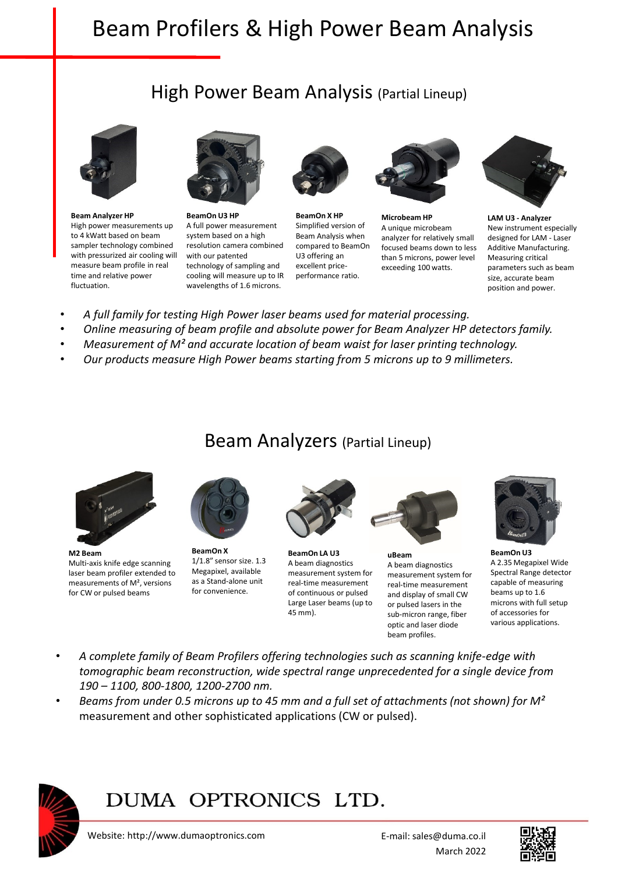# Beam Profilers & High Power Beam Analysis

### High Power Beam Analysis (Partial Lineup)



**Beam Analyzer HP** High power measurements up to 4 kWatt based on beam sampler technology combined with pressurized air cooling will measure beam profile in real time and relative power fluctuation.



**BeamOn U3 HP** A full power measurement system based on a high resolution camera combined with our patented technology of sampling and cooling will measure up to IR wavelengths of 1.6 microns.



**BeamOn X HP** Simplified version of Beam Analysis when compared to BeamOn U3 offering an excellent priceperformance ratio.



**Microbeam HP** A unique microbeam analyzer for relatively small focused beams down to less than 5 microns, power level exceeding 100 watts.



**LAM U3 - Analyzer** New instrument especially designed for LAM - Laser Additive Manufacturing. Measuring critical parameters such as beam size, accurate beam position and power.

- *A full family for testing High Power laser beams used for material processing.*
- *Online measuring of beam profile and absolute power for Beam Analyzer HP detectors family.*
- *Measurement of M² and accurate location of beam waist for laser printing technology.*
- *Our products measure High Power beams starting from 5 microns up to 9 millimeters.*

#### Beam Analyzers (Partial Lineup)



**M2 Beam** Multi-axis knife edge scanning laser beam profiler extended to measurements of M², versions for CW or pulsed beams



**BeamOn X**  1/1.8" sensor size. 1.3 Megapixel, available as a Stand-alone unit for convenience.



**BeamOn LA U3** A beam diagnostics measurement system for real-time measurement of continuous or pulsed Large Laser beams (up to 45 mm).



**uBeam** A beam diagnostics measurement system for real-time measurement and display of small CW or pulsed lasers in the sub-micron range, fiber optic and laser diode beam profiles.



**BeamOn U3** A 2.35 Megapixel Wide Spectral Range detector capable of measuring beams up to 1.6 microns with full setup of accessories for various applications.

- *A complete family of Beam Profilers offering technologies such as scanning knife-edge with tomographic beam reconstruction, wide spectral range unprecedented for a single device from 190 – 1100, 800-1800, 1200-2700 nm.*
- *Beams from under 0.5 microns up to 45 mm and a full set of attachments (not shown) for M²*  measurement and other sophisticated applications (CW or pulsed).



1

### DUMA OPTRONICS LTD.

st Hazait St., P.O.Box 3370 Nesher 20306, Israel

Website: http://www.dumaoptronics.com Website: http://www.dumaoptronics.com E-mail: sales@duma.co.il